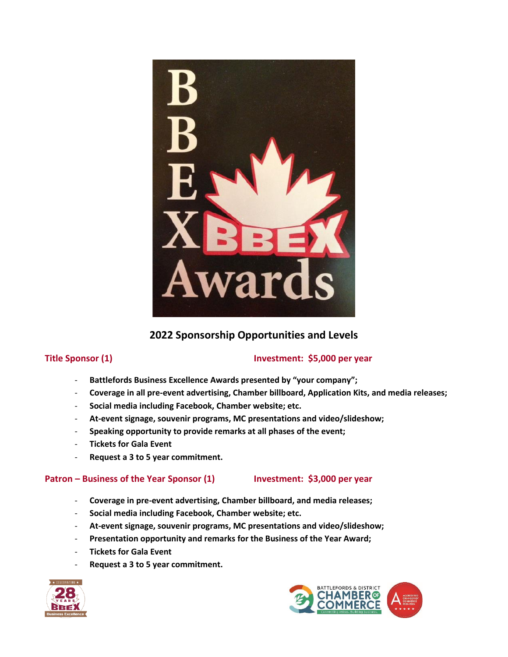

# **2022 Sponsorship Opportunities and Levels**

# **Title Sponsor (1) Investment: \$5,000 per year**

- **Battlefords Business Excellence Awards presented by "your company";**
- **Coverage in all pre-event advertising, Chamber billboard, Application Kits, and media releases;**
- **Social media including Facebook, Chamber website; etc.**
- **At-event signage, souvenir programs, MC presentations and video/slideshow;**
- **Speaking opportunity to provide remarks at all phases of the event;**
- **Tickets for Gala Event**
- **Request a 3 to 5 year commitment.**

# **Patron – Business of the Year Sponsor (1) Investment: \$3,000 per year**

- **Coverage in pre-event advertising, Chamber billboard, and media releases;**
- **Social media including Facebook, Chamber website; etc.**
- **At-event signage, souvenir programs, MC presentations and video/slideshow;**
- **Presentation opportunity and remarks for the Business of the Year Award;**
- **Tickets for Gala Event**
- **Request a 3 to 5 year commitment.**



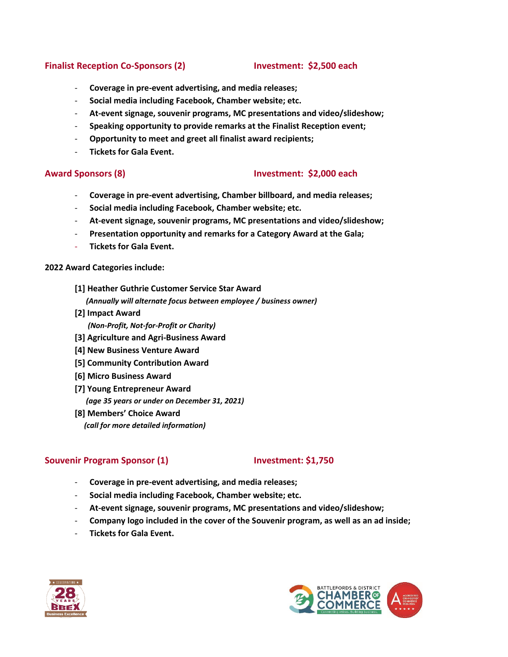# **Finalist Reception Co-Sponsors (2) Investment: \$2,500 each**

- **Coverage in pre-event advertising, and media releases;**
- **Social media including Facebook, Chamber website; etc.**
- **At-event signage, souvenir programs, MC presentations and video/slideshow;**
- **Speaking opportunity to provide remarks at the Finalist Reception event;**
- **Opportunity to meet and greet all finalist award recipients;**
- **Tickets for Gala Event.**

### **Award Sponsors (8) Investment: \$2,000 each**

- **Coverage in pre-event advertising, Chamber billboard, and media releases;**
- **Social media including Facebook, Chamber website; etc.**
- **At-event signage, souvenir programs, MC presentations and video/slideshow;**
- **Presentation opportunity and remarks for a Category Award at the Gala;**
- **Tickets for Gala Event.**

### **2022 Award Categories include:**

- **[1] Heather Guthrie Customer Service Star Award**   *(Annually will alternate focus between employee / business owner)*
- **[2] Impact Award**   *(Non-Profit, Not-for-Profit or Charity)*
- **[3] Agriculture and Agri-Business Award**
- **[4] New Business Venture Award**
- **[5] Community Contribution Award**
- **[6] Micro Business Award**
- **[7] Young Entrepreneur Award** 
	- *(age 35 years or under on December 31, 2021)*
- **[8] Members' Choice Award**  *(call for more detailed information)*

# **Souvenir Program Sponsor (1) Investment: \$1,750**

- **Coverage in pre-event advertising, and media releases;**
- **Social media including Facebook, Chamber website; etc.**
- **At-event signage, souvenir programs, MC presentations and video/slideshow;**
- **Company logo included in the cover of the Souvenir program, as well as an ad inside;**
- **Tickets for Gala Event.**



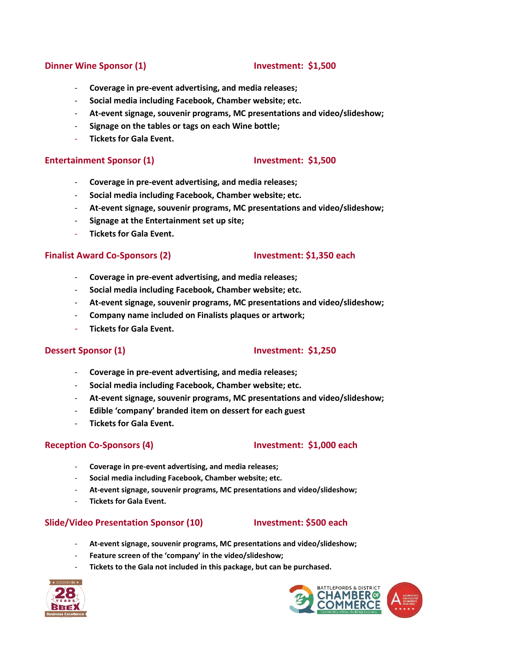### **Dinner Wine Sponsor (1) Investment: \$1,500**

- **Coverage in pre-event advertising, and media releases;**
- **Social media including Facebook, Chamber website; etc.**
- **At-event signage, souvenir programs, MC presentations and video/slideshow;**
- **Signage on the tables or tags on each Wine bottle;**
- **Tickets for Gala Event.**

### **Entertainment Sponsor (1) Investment: \$1,500**

- **Coverage in pre-event advertising, and media releases;**
- **Social media including Facebook, Chamber website; etc.**
- **At-event signage, souvenir programs, MC presentations and video/slideshow;**
- **Signage at the Entertainment set up site;**
- **Tickets for Gala Event.**

### **Finalist Award Co-Sponsors (2) Investment: \$1,350 each**

- **Coverage in pre-event advertising, and media releases;**
- **Social media including Facebook, Chamber website; etc.**
- **At-event signage, souvenir programs, MC presentations and video/slideshow;**
- **Company name included on Finalists plaques or artwork;**
- **Tickets for Gala Event.**

# **Dessert Sponsor (1) Investment: \$1,250**

- **Coverage in pre-event advertising, and media releases;**
- **Social media including Facebook, Chamber website; etc.**
- **At-event signage, souvenir programs, MC presentations and video/slideshow;**
- **Edible 'company' branded item on dessert for each guest**
- **Tickets for Gala Event.**

# **Reception Co-Sponsors (4) Investment: \$1,000 each**

- **Coverage in pre-event advertising, and media releases;**
- **Social media including Facebook, Chamber website; etc.**
- **At-event signage, souvenir programs, MC presentations and video/slideshow;**
- **Tickets for Gala Event.**

### **Slide/Video Presentation Sponsor (10) Investment: \$500 each**

- **At-event signage, souvenir programs, MC presentations and video/slideshow;**
- **Feature screen of the 'company' in the video/slideshow;**
- **Tickets to the Gala not included in this package, but can be purchased.**